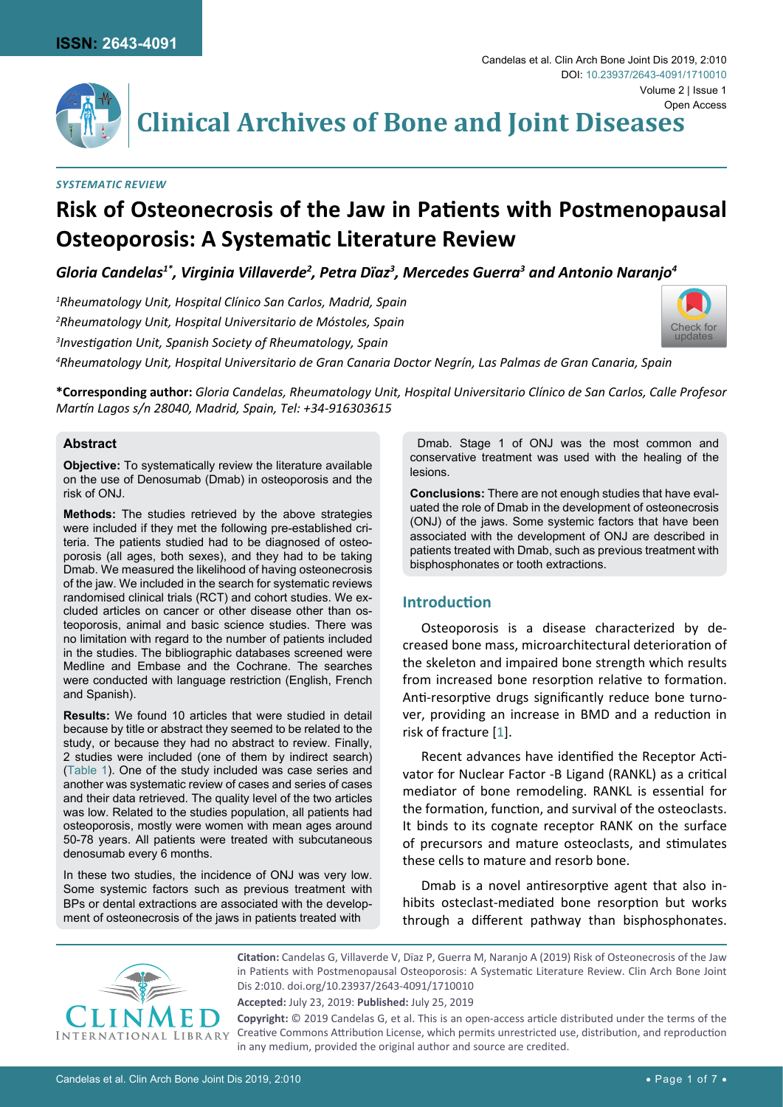

**Clinical Archives of Bone and Joint Diseases**

# *Systematic Review*

# **Risk of Osteonecrosis of the Jaw in Patients with Postmenopausal Osteoporosis: A Systematic Literature Review**

*Gloria Candelas1\*, Virginia Villaverde2 , Petra Dïaz3 , Mercedes Guerra3 and Antonio Naranjo4*

*1 Rheumatology Unit, Hospital Clínico San Carlos, Madrid, Spain 2 Rheumatology Unit, Hospital Universitario de Móstoles, Spain 3 Investigation Unit, Spanish Society of Rheumatology, Spain*



*4 Rheumatology Unit, Hospital Universitario de Gran Canaria Doctor Negrín, Las Palmas de Gran Canaria, Spain*

**\*Corresponding author:** *Gloria Candelas, Rheumatology Unit, Hospital Universitario Clínico de San Carlos, Calle Profesor Martín Lagos s/n 28040, Madrid, Spain, Tel: +34-916303615*

# **Abstract**

**Objective:** To systematically review the literature available on the use of Denosumab (Dmab) in osteoporosis and the risk of ONJ.

**Methods:** The studies retrieved by the above strategies were included if they met the following pre-established criteria. The patients studied had to be diagnosed of osteoporosis (all ages, both sexes), and they had to be taking Dmab. We measured the likelihood of having osteonecrosis of the jaw. We included in the search for systematic reviews randomised clinical trials (RCT) and cohort studies. We excluded articles on cancer or other disease other than osteoporosis, animal and basic science studies. There was no limitation with regard to the number of patients included in the studies. The bibliographic databases screened were Medline and Embase and the Cochrane. The searches were conducted with language restriction (English, French and Spanish).

**Results:** We found 10 articles that were studied in detail because by title or abstract they seemed to be related to the study, or because they had no abstract to review. Finally, 2 studies were included (one of them by indirect search) [\(Table 1\)](#page-1-0). One of the study included was case series and another was systematic review of cases and series of cases and their data retrieved. The quality level of the two articles was low. Related to the studies population, all patients had osteoporosis, mostly were women with mean ages around 50-78 years. All patients were treated with subcutaneous denosumab every 6 months.

In these two studies, the incidence of ONJ was very low. Some systemic factors such as previous treatment with BPs or dental extractions are associated with the development of osteonecrosis of the jaws in patients treated with

 Dmab. Stage 1 of ONJ was the most common and conservative treatment was used with the healing of the lesions.

**Conclusions:** There are not enough studies that have evaluated the role of Dmab in the development of osteonecrosis (ONJ) of the jaws. Some systemic factors that have been associated with the development of ONJ are described in patients treated with Dmab, such as previous treatment with bisphosphonates or tooth extractions.

# **Introduction**

Osteoporosis is a disease characterized by decreased bone mass, microarchitectural deterioration of the skeleton and impaired bone strength which results from increased bone resorption relative to formation. Anti-resorptive drugs significantly reduce bone turnover, providing an increase in BMD and a reduction in risk of fracture [[1](#page-5-0)].

Recent advances have identified the Receptor Activator for Nuclear Factor -B Ligand (RANKL) as a critical mediator of bone remodeling. RANKL is essential for the formation, function, and survival of the osteoclasts. It binds to its cognate receptor RANK on the surface of precursors and mature osteoclasts, and stimulates these cells to mature and resorb bone.

Dmab is a novel antiresorptive agent that also inhibits osteclast-mediated bone resorption but works through a different pathway than bisphosphonates.



**Citation:** Candelas G, Villaverde V, Dïaz P, Guerra M, Naranjo A (2019) Risk of Osteonecrosis of the Jaw in Patients with Postmenopausal Osteoporosis: A Systematic Literature Review. Clin Arch Bone Joint Dis 2:010. [doi.org/10.23937/2643-4091/1710010](https://doi.org/10.23937/2643-4091/1710010)

**Accepted:** July 23, 2019: **Published:** July 25, 2019

**Copyright:** © 2019 Candelas G, et al. This is an open-access article distributed under the terms of the Creative Commons Attribution License, which permits unrestricted use, distribution, and reproduction in any medium, provided the original author and source are credited.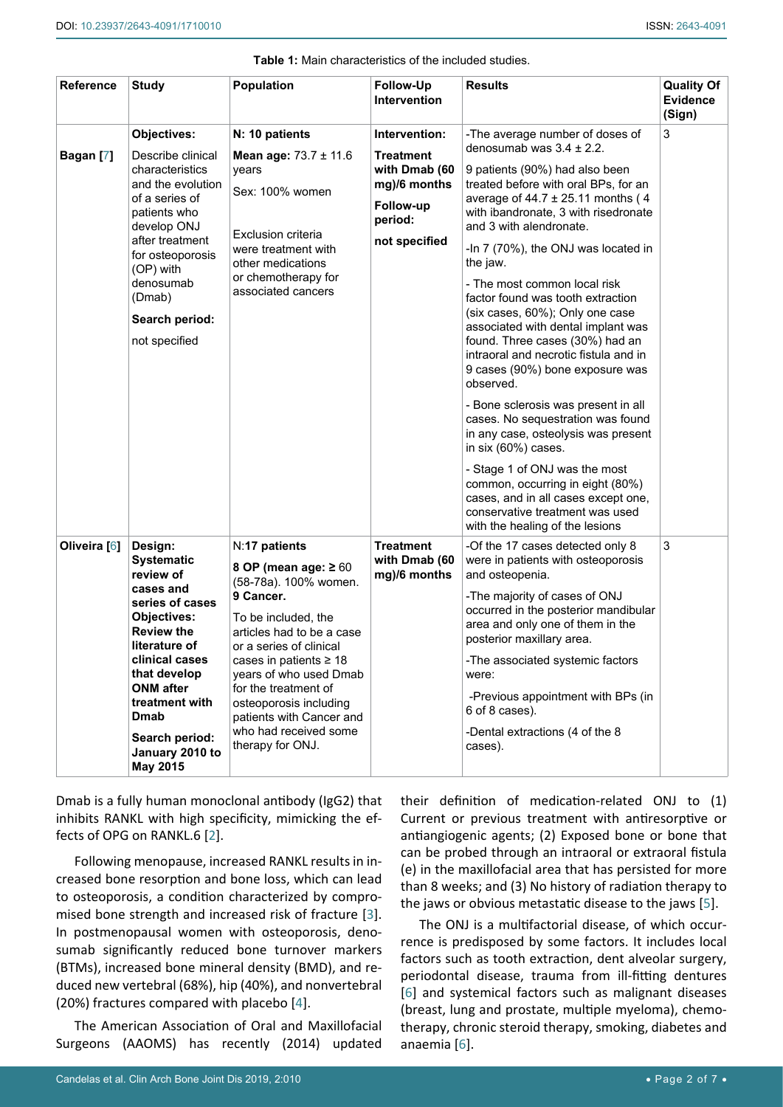#### <span id="page-1-0"></span>**Table 1:** Main characteristics of the included studies.

| <b>Reference</b> | <b>Study</b>                                                                                                                                                                                                                                                           | <b>Population</b>                                                                                                                                                                                                                                                                                                                                   | <b>Follow-Up</b><br><b>Intervention</b>                                                                     | <b>Results</b>                                                                                                                                                                                                                                                                                                                                                                                                                                                                                                                                                                                                                                                                                                                                                                                                                                                                                                  | <b>Quality Of</b><br><b>Evidence</b><br>(Sign) |
|------------------|------------------------------------------------------------------------------------------------------------------------------------------------------------------------------------------------------------------------------------------------------------------------|-----------------------------------------------------------------------------------------------------------------------------------------------------------------------------------------------------------------------------------------------------------------------------------------------------------------------------------------------------|-------------------------------------------------------------------------------------------------------------|-----------------------------------------------------------------------------------------------------------------------------------------------------------------------------------------------------------------------------------------------------------------------------------------------------------------------------------------------------------------------------------------------------------------------------------------------------------------------------------------------------------------------------------------------------------------------------------------------------------------------------------------------------------------------------------------------------------------------------------------------------------------------------------------------------------------------------------------------------------------------------------------------------------------|------------------------------------------------|
| Bagan [7]        | Objectives:<br>Describe clinical<br>characteristics<br>and the evolution<br>of a series of<br>patients who<br>develop ONJ<br>after treatment<br>for osteoporosis<br>(OP) with<br>denosumab<br>(Dmab)<br>Search period:<br>not specified                                | N: 10 patients<br><b>Mean age:</b> $73.7 \pm 11.6$<br>years<br>Sex: 100% women<br><b>Exclusion criteria</b><br>were treatment with<br>other medications<br>or chemotherapy for<br>associated cancers                                                                                                                                                | Intervention:<br><b>Treatment</b><br>with Dmab (60<br>mg)/6 months<br>Follow-up<br>period:<br>not specified | -The average number of doses of<br>denosumab was $3.4 \pm 2.2$ .<br>9 patients (90%) had also been<br>treated before with oral BPs, for an<br>average of $44.7 \pm 25.11$ months (4<br>with ibandronate, 3 with risedronate<br>and 3 with alendronate.<br>-In 7 (70%), the ONJ was located in<br>the jaw.<br>- The most common local risk<br>factor found was tooth extraction<br>(six cases, 60%); Only one case<br>associated with dental implant was<br>found. Three cases (30%) had an<br>intraoral and necrotic fistula and in<br>9 cases (90%) bone exposure was<br>observed.<br>- Bone sclerosis was present in all<br>cases. No sequestration was found<br>in any case, osteolysis was present<br>in six (60%) cases.<br>- Stage 1 of ONJ was the most<br>common, occurring in eight (80%)<br>cases, and in all cases except one,<br>conservative treatment was used<br>with the healing of the lesions | 3                                              |
| Oliveira [6]     | Design:<br><b>Systematic</b><br>review of<br>cases and<br>series of cases<br><b>Objectives:</b><br><b>Review the</b><br>literature of<br>clinical cases<br>that develop<br><b>ONM</b> after<br>treatment with<br>Dmab<br>Search period:<br>January 2010 to<br>May 2015 | N:17 patients<br>8 OP (mean age: $\geq 60$<br>(58-78a). 100% women.<br>9 Cancer.<br>To be included, the<br>articles had to be a case<br>or a series of clinical<br>cases in patients $\geq 18$<br>years of who used Dmab<br>for the treatment of<br>osteoporosis including<br>patients with Cancer and<br>who had received some<br>therapy for ONJ. | <b>Treatment</b><br>with Dmab (60<br>mg)/6 months                                                           | -Of the 17 cases detected only 8<br>were in patients with osteoporosis<br>and osteopenia.<br>-The majority of cases of ONJ<br>occurred in the posterior mandibular<br>area and only one of them in the<br>posterior maxillary area.<br>-The associated systemic factors<br>were:<br>-Previous appointment with BPs (in<br>6 of 8 cases).<br>-Dental extractions (4 of the 8<br>cases).                                                                                                                                                                                                                                                                                                                                                                                                                                                                                                                          | 3                                              |

Dmab is a fully human monoclonal antibody (IgG2) that inhibits RANKL with high specificity, mimicking the effects of OPG on RANKL.6 [[2](#page-5-4)].

Following menopause, increased RANKL results in increased bone resorption and bone loss, which can lead to osteoporosis, a condition characterized by compromised bone strength and increased risk of fracture [[3](#page-5-5)]. In postmenopausal women with osteoporosis, denosumab significantly reduced bone turnover markers (BTMs), increased bone mineral density (BMD), and reduced new vertebral (68%), hip (40%), and nonvertebral (20%) fractures compared with placebo [[4](#page-5-6)].

The American Association of Oral and Maxillofacial Surgeons (AAOMS) has recently (2014) updated their definition of medication-related ONJ to (1) Current or previous treatment with antiresorptive or antiangiogenic agents; (2) Exposed bone or bone that can be probed through an intraoral or extraoral fistula (e) in the maxillofacial area that has persisted for more than 8 weeks; and (3) No history of radiation therapy to the jaws or obvious metastatic disease to the jaws [[5\]](#page-5-3).

The ONJ is a multifactorial disease, of which occurrence is predisposed by some factors. It includes local factors such as tooth extraction, dent alveolar surgery, periodontal disease, trauma from ill-fitting dentures [[6\]](#page-5-2) and systemical factors such as malignant diseases (breast, lung and prostate, multiple myeloma), chemotherapy, chronic steroid therapy, smoking, diabetes and anaemia [[6\]](#page-5-2).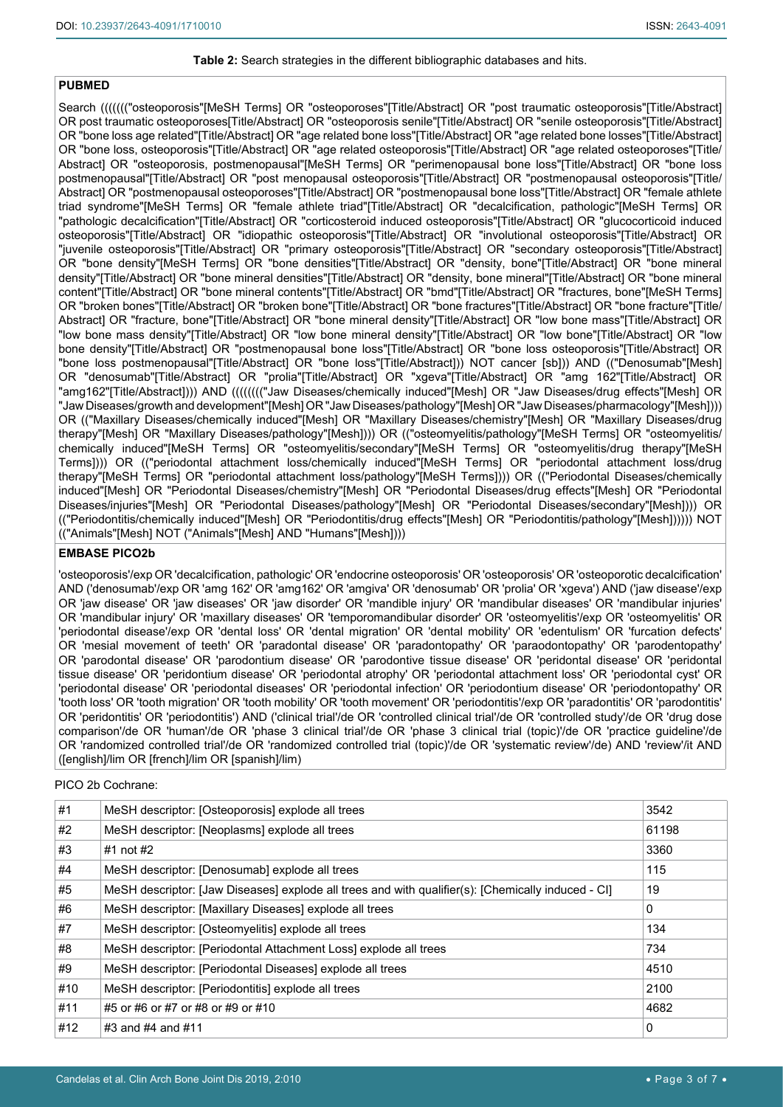#### <span id="page-2-0"></span>**Table 2:** Search strategies in the different bibliographic databases and hits.

#### **PUBMED**

Search ((((((("osteoporosis"[MeSH Terms] OR "osteoporoses"[Title/Abstract] OR "post traumatic osteoporosis"[Title/Abstract] OR post traumatic osteoporoses[Title/Abstract] OR "osteoporosis senile"[Title/Abstract] OR "senile osteoporosis"[Title/Abstract] OR "bone loss age related"[Title/Abstract] OR "age related bone loss"[Title/Abstract] OR "age related bone losses"[Title/Abstract] OR "bone loss, osteoporosis"[Title/Abstract] OR "age related osteoporosis"[Title/Abstract] OR "age related osteoporoses"[Title/ Abstract] OR "osteoporosis, postmenopausal"[MeSH Terms] OR "perimenopausal bone loss"[Title/Abstract] OR "bone loss postmenopausal"[Title/Abstract] OR "post menopausal osteoporosis"[Title/Abstract] OR "postmenopausal osteoporosis"[Title/ Abstract] OR "postmenopausal osteoporoses"[Title/Abstract] OR "postmenopausal bone loss"[Title/Abstract] OR "female athlete triad syndrome"[MeSH Terms] OR "female athlete triad"[Title/Abstract] OR "decalcification, pathologic"[MeSH Terms] OR "pathologic decalcification"[Title/Abstract] OR "corticosteroid induced osteoporosis"[Title/Abstract] OR "glucocorticoid induced osteoporosis"[Title/Abstract] OR "idiopathic osteoporosis"[Title/Abstract] OR "involutional osteoporosis"[Title/Abstract] OR "juvenile osteoporosis"[Title/Abstract] OR "primary osteoporosis"[Title/Abstract] OR "secondary osteoporosis"[Title/Abstract] OR "bone density"[MeSH Terms] OR "bone densities"[Title/Abstract] OR "density, bone"[Title/Abstract] OR "bone mineral density"[Title/Abstract] OR "bone mineral densities"[Title/Abstract] OR "density, bone mineral"[Title/Abstract] OR "bone mineral content"[Title/Abstract] OR "bone mineral contents"[Title/Abstract] OR "bmd"[Title/Abstract] OR "fractures, bone"[MeSH Terms] OR "broken bones"[Title/Abstract] OR "broken bone"[Title/Abstract] OR "bone fractures"[Title/Abstract] OR "bone fracture"[Title/ Abstract] OR "fracture, bone"[Title/Abstract] OR "bone mineral density"[Title/Abstract] OR "low bone mass"[Title/Abstract] OR "low bone mass density"[Title/Abstract] OR "low bone mineral density"[Title/Abstract] OR "low bone"[Title/Abstract] OR "low bone density"[Title/Abstract] OR "postmenopausal bone loss"[Title/Abstract] OR "bone loss osteoporosis"[Title/Abstract] OR "bone loss postmenopausal"[Title/Abstract] OR "bone loss"[Title/Abstract])) NOT cancer [sb])) AND (("Denosumab"[Mesh] OR "denosumab"[Title/Abstract] OR "prolia"[Title/Abstract] OR "xgeva"[Title/Abstract] OR "amg 162"[Title/Abstract] OR "amg162"[Title/Abstract]))) AND (((((((("Jaw Diseases/chemically induced"[Mesh] OR "Jaw Diseases/drug effects"[Mesh] OR "Jaw Diseases/growth and development"[Mesh] OR "Jaw Diseases/pathology"[Mesh] OR "Jaw Diseases/pharmacology"[Mesh]))) OR (("Maxillary Diseases/chemically induced"[Mesh] OR "Maxillary Diseases/chemistry"[Mesh] OR "Maxillary Diseases/drug therapy"[Mesh] OR "Maxillary Diseases/pathology"[Mesh]))) OR (("osteomyelitis/pathology"[MeSH Terms] OR "osteomyelitis/ chemically induced"[MeSH Terms] OR "osteomyelitis/secondary"[MeSH Terms] OR "osteomyelitis/drug therapy"[MeSH Terms]))) OR (("periodontal attachment loss/chemically induced"[MeSH Terms] OR "periodontal attachment loss/drug therapy"[MeSH Terms] OR "periodontal attachment loss/pathology"[MeSH Terms]))) OR (("Periodontal Diseases/chemically induced"[Mesh] OR "Periodontal Diseases/chemistry"[Mesh] OR "Periodontal Diseases/drug effects"[Mesh] OR "Periodontal Diseases/injuries"[Mesh] OR "Periodontal Diseases/pathology"[Mesh] OR "Periodontal Diseases/secondary"[Mesh]))) OR (("Periodontitis/chemically induced"[Mesh] OR "Periodontitis/drug effects"[Mesh] OR "Periodontitis/pathology"[Mesh]))))) NOT (("Animals"[Mesh] NOT ("Animals"[Mesh] AND "Humans"[Mesh])))

#### **EMBASE PICO2b**

'osteoporosis'/exp OR 'decalcification, pathologic' OR 'endocrine osteoporosis' OR 'osteoporosis' OR 'osteoporotic decalcification' AND ('denosumab'/exp OR 'amg 162' OR 'amg162' OR 'amgiva' OR 'denosumab' OR 'prolia' OR 'xgeva') AND ('jaw disease'/exp OR 'jaw disease' OR 'jaw diseases' OR 'jaw disorder' OR 'mandible injury' OR 'mandibular diseases' OR 'mandibular injuries' OR 'mandibular injury' OR 'maxillary diseases' OR 'temporomandibular disorder' OR 'osteomyelitis'/exp OR 'osteomyelitis' OR 'periodontal disease'/exp OR 'dental loss' OR 'dental migration' OR 'dental mobility' OR 'edentulism' OR 'furcation defects' OR 'mesial movement of teeth' OR 'paradontal disease' OR 'paradontopathy' OR 'paraodontopathy' OR 'parodentopathy' OR 'parodontal disease' OR 'parodontium disease' OR 'parodontive tissue disease' OR 'peridontal disease' OR 'peridontal tissue disease' OR 'peridontium disease' OR 'periodontal atrophy' OR 'periodontal attachment loss' OR 'periodontal cyst' OR 'periodontal disease' OR 'periodontal diseases' OR 'periodontal infection' OR 'periodontium disease' OR 'periodontopathy' OR 'tooth loss' OR 'tooth migration' OR 'tooth mobility' OR 'tooth movement' OR 'periodontitis'/exp OR 'paradontitis' OR 'parodontitis' OR 'peridontitis' OR 'periodontitis') AND ('clinical trial'/de OR 'controlled clinical trial'/de OR 'controlled study'/de OR 'drug dose comparison'/de OR 'human'/de OR 'phase 3 clinical trial'/de OR 'phase 3 clinical trial (topic)'/de OR 'practice guideline'/de OR 'randomized controlled trial'/de OR 'randomized controlled trial (topic)'/de OR 'systematic review'/de) AND 'review'/it AND ([english]/lim OR [french]/lim OR [spanish]/lim)

#### PICO 2b Cochrane:

| #1  | MeSH descriptor: [Osteoporosis] explode all trees                                                  | 3542  |
|-----|----------------------------------------------------------------------------------------------------|-------|
| #2  | MeSH descriptor: [Neoplasms] explode all trees                                                     | 61198 |
| #3  | $#1$ not $#2$                                                                                      | 3360  |
| #4  | MeSH descriptor: [Denosumab] explode all trees                                                     | 115   |
| #5  | MeSH descriptor: [Jaw Diseases] explode all trees and with qualifier(s): [Chemically induced - CI] | 19    |
| #6  | MeSH descriptor: [Maxillary Diseases] explode all trees                                            | 0     |
| #7  | MeSH descriptor: [Osteomyelitis] explode all trees                                                 | 134   |
| #8  | MeSH descriptor: [Periodontal Attachment Loss] explode all trees                                   | 734   |
| #9  | MeSH descriptor: [Periodontal Diseases] explode all trees                                          | 4510  |
| #10 | MeSH descriptor: [Periodontitis] explode all trees                                                 | 2100  |
| #11 | #5 or #6 or #7 or #8 or #9 or #10                                                                  | 4682  |
| #12 | #3 and #4 and #11                                                                                  | 0     |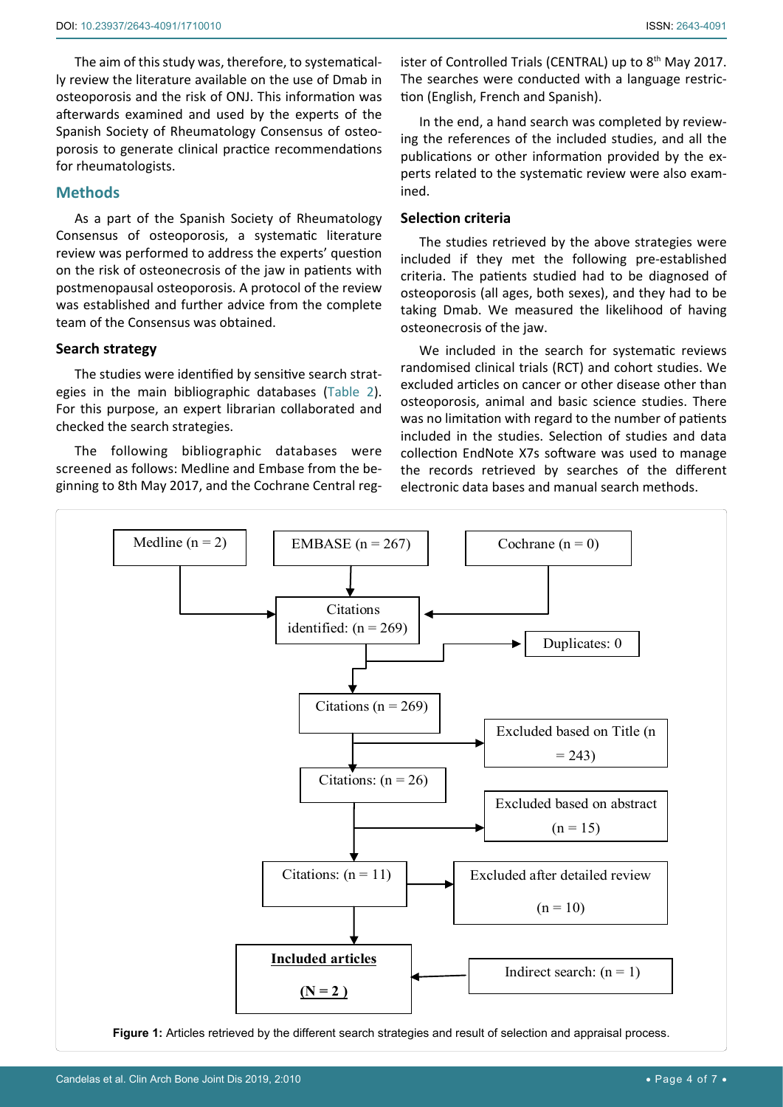The aim of this study was, therefore, to systematically review the literature available on the use of Dmab in osteoporosis and the risk of ONJ. This information was afterwards examined and used by the experts of the Spanish Society of Rheumatology Consensus of osteoporosis to generate clinical practice recommendations for rheumatologists.

# **Methods**

As a part of the Spanish Society of Rheumatology Consensus of osteoporosis, a systematic literature review was performed to address the experts' question on the risk of osteonecrosis of the jaw in patients with postmenopausal osteoporosis. A protocol of the review was established and further advice from the complete team of the Consensus was obtained.

# **Search strategy**

The studies were identified by sensitive search strategies in the main bibliographic databases [\(Table 2](#page-2-0)). For this purpose, an expert librarian collaborated and checked the search strategies.

The following bibliographic databases were screened as follows: Medline and Embase from the beginning to 8th May 2017, and the Cochrane Central register of Controlled Trials (CENTRAL) up to  $8<sup>th</sup>$  May 2017. The searches were conducted with a language restriction (English, French and Spanish).

In the end, a hand search was completed by reviewing the references of the included studies, and all the publications or other information provided by the experts related to the systematic review were also examined.

# **Selection criteria**

The studies retrieved by the above strategies were included if they met the following pre-established criteria. The patients studied had to be diagnosed of osteoporosis (all ages, both sexes), and they had to be taking Dmab. We measured the likelihood of having osteonecrosis of the jaw.

We included in the search for systematic reviews randomised clinical trials (RCT) and cohort studies. We excluded articles on cancer or other disease other than osteoporosis, animal and basic science studies. There was no limitation with regard to the number of patients included in the studies. Selection of studies and data collection EndNote X7s software was used to manage the records retrieved by searches of the different electronic data bases and manual search methods.

<span id="page-3-0"></span>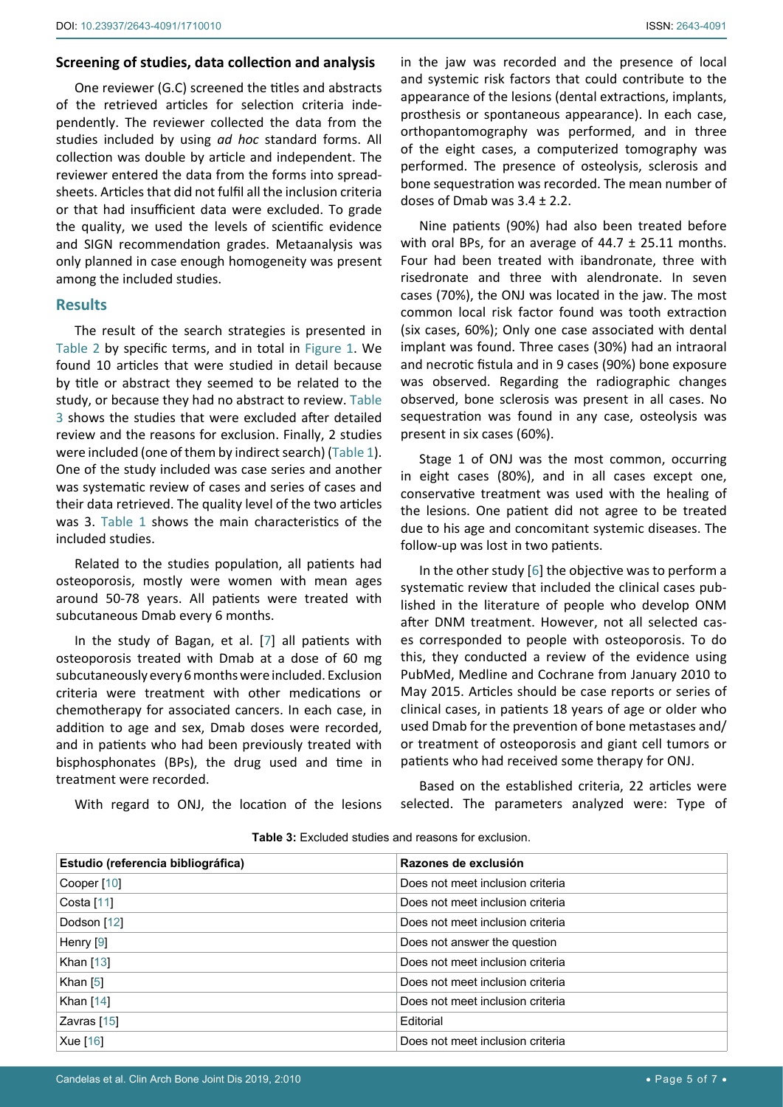# **Screening of studies, data collection and analysis**

One reviewer (G.C) screened the titles and abstracts of the retrieved articles for selection criteria independently. The reviewer collected the data from the studies included by using *ad hoc* standard forms. All collection was double by article and independent. The reviewer entered the data from the forms into spreadsheets. Articles that did not fulfil all the inclusion criteria or that had insufficient data were excluded. To grade the quality, we used the levels of scientific evidence and SIGN recommendation grades. Metaanalysis was only planned in case enough homogeneity was present among the included studies.

# **Results**

The result of the search strategies is presented in [Table 2](#page-2-0) by specific terms, and in total in [Figure 1.](#page-3-0) We found 10 articles that were studied in detail because by title or abstract they seemed to be related to the study, or because they had no abstract to review. [Table](#page-4-0)  [3](#page-4-0) shows the studies that were excluded after detailed review and the reasons for exclusion. Finally, 2 studies were included (one of them by indirect search) ([Table 1](#page-1-0)). One of the study included was case series and another was systematic review of cases and series of cases and their data retrieved. The quality level of the two articles was 3. [Table 1](#page-1-0) shows the main characteristics of the included studies.

Related to the studies population, all patients had osteoporosis, mostly were women with mean ages around 50-78 years. All patients were treated with subcutaneous Dmab every 6 months.

In the study of Bagan, et al. [[7](#page-5-1)] all patients with osteoporosis treated with Dmab at a dose of 60 mg subcutaneously every 6 months were included. Exclusion criteria were treatment with other medications or chemotherapy for associated cancers. In each case, in addition to age and sex, Dmab doses were recorded, and in patients who had been previously treated with bisphosphonates (BPs), the drug used and time in treatment were recorded.

With regard to ONJ, the location of the lesions

in the jaw was recorded and the presence of local and systemic risk factors that could contribute to the appearance of the lesions (dental extractions, implants, prosthesis or spontaneous appearance). In each case, orthopantomography was performed, and in three of the eight cases, a computerized tomography was performed. The presence of osteolysis, sclerosis and bone sequestration was recorded. The mean number of doses of Dmab was 3.4 ± 2.2.

Nine patients (90%) had also been treated before with oral BPs, for an average of  $44.7 \pm 25.11$  months. Four had been treated with ibandronate, three with risedronate and three with alendronate. In seven cases (70%), the ONJ was located in the jaw. The most common local risk factor found was tooth extraction (six cases, 60%); Only one case associated with dental implant was found. Three cases (30%) had an intraoral and necrotic fistula and in 9 cases (90%) bone exposure was observed. Regarding the radiographic changes observed, bone sclerosis was present in all cases. No sequestration was found in any case, osteolysis was present in six cases (60%).

Stage 1 of ONJ was the most common, occurring in eight cases (80%), and in all cases except one, conservative treatment was used with the healing of the lesions. One patient did not agree to be treated due to his age and concomitant systemic diseases. The follow-up was lost in two patients.

In the other study [\[6](#page-5-2)] the objective was to perform a systematic review that included the clinical cases published in the literature of people who develop ONM after DNM treatment. However, not all selected cases corresponded to people with osteoporosis. To do this, they conducted a review of the evidence using PubMed, Medline and Cochrane from January 2010 to May 2015. Articles should be case reports or series of clinical cases, in patients 18 years of age or older who used Dmab for the prevention of bone metastases and/ or treatment of osteoporosis and giant cell tumors or patients who had received some therapy for ONJ.

Based on the established criteria, 22 articles were selected. The parameters analyzed were: Type of

| Estudio (referencia bibliográfica) | Razones de exclusión             |
|------------------------------------|----------------------------------|
| Cooper [10]                        | Does not meet inclusion criteria |
| Costa [11]                         | Does not meet inclusion criteria |
| Dodson [12]                        | Does not meet inclusion criteria |
| Henry [9]                          | Does not answer the question     |
| Khan [13]                          | Does not meet inclusion criteria |
| Khan $[5]$                         | Does not meet inclusion criteria |
| Khan $[14]$                        | Does not meet inclusion criteria |
| Zavras [15]                        | Editorial                        |
| Xue [16]                           | Does not meet inclusion criteria |

<span id="page-4-0"></span>**Table 3:** Excluded studies and reasons for exclusion.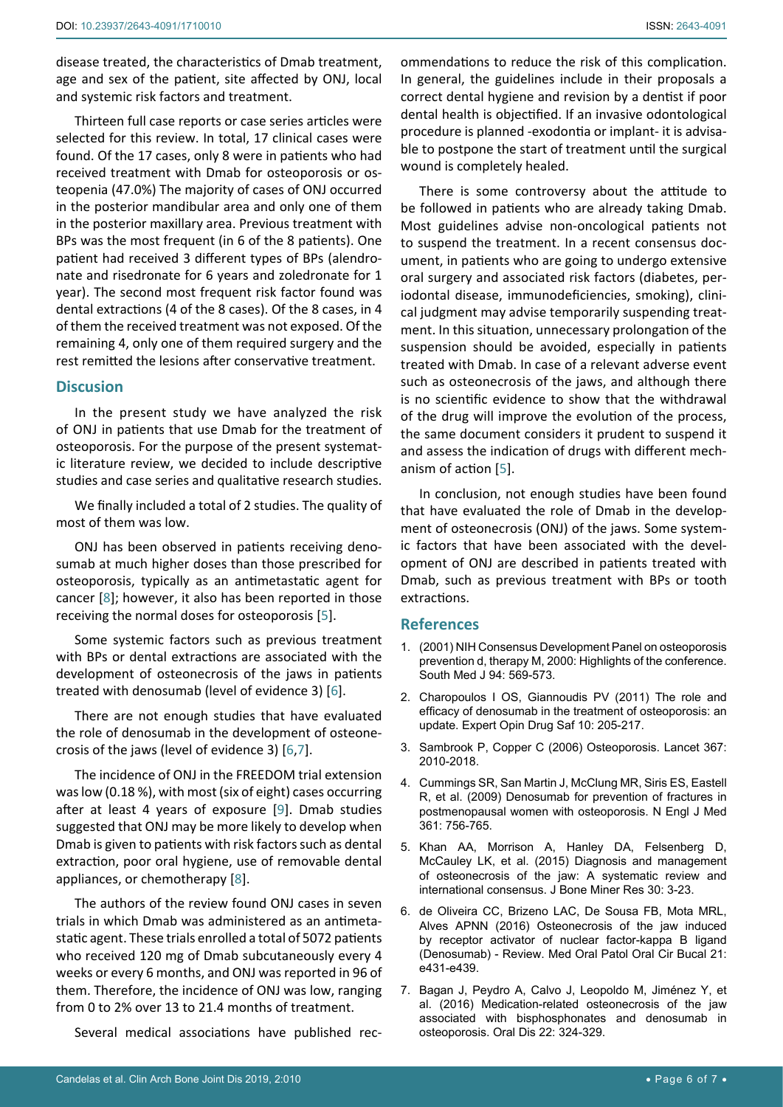disease treated, the characteristics of Dmab treatment, age and sex of the patient, site affected by ONJ, local and systemic risk factors and treatment.

Thirteen full case reports or case series articles were selected for this review. In total, 17 clinical cases were found. Of the 17 cases, only 8 were in patients who had received treatment with Dmab for osteoporosis or osteopenia (47.0%) The majority of cases of ONJ occurred in the posterior mandibular area and only one of them in the posterior maxillary area. Previous treatment with BPs was the most frequent (in 6 of the 8 patients). One patient had received 3 different types of BPs (alendronate and risedronate for 6 years and zoledronate for 1 year). The second most frequent risk factor found was dental extractions (4 of the 8 cases). Of the 8 cases, in 4 of them the received treatment was not exposed. Of the remaining 4, only one of them required surgery and the rest remitted the lesions after conservative treatment.

# **Discusion**

In the present study we have analyzed the risk of ONJ in patients that use Dmab for the treatment of osteoporosis. For the purpose of the present systematic literature review, we decided to include descriptive studies and case series and qualitative research studies.

We finally included a total of 2 studies. The quality of most of them was low.

ONJ has been observed in patients receiving denosumab at much higher doses than those prescribed for osteoporosis, typically as an antimetastatic agent for cancer [\[8](#page-6-8)]; however, it also has been reported in those receiving the normal doses for osteoporosis [\[5\]](#page-5-3).

Some systemic factors such as previous treatment with BPs or dental extractions are associated with the development of osteonecrosis of the jaws in patients treated with denosumab (level of evidence 3) [[6](#page-5-2)].

There are not enough studies that have evaluated the role of denosumab in the development of osteonecrosis of the jaws (level of evidence 3) [[6](#page-5-2),[7\]](#page-5-1).

The incidence of ONJ in the FREEDOM trial extension was low (0.18 %), with most (six of eight) cases occurring after at least 4 years of exposure [[9](#page-6-3)]. Dmab studies suggested that ONJ may be more likely to develop when Dmab is given to patients with risk factors such as dental extraction, poor oral hygiene, use of removable dental appliances, or chemotherapy [[8](#page-6-8)].

The authors of the review found ONJ cases in seven trials in which Dmab was administered as an antimetastatic agent. These trials enrolled a total of 5072 patients who received 120 mg of Dmab subcutaneously every 4 weeks or every 6 months, and ONJ was reported in 96 of them. Therefore, the incidence of ONJ was low, ranging from 0 to 2% over 13 to 21.4 months of treatment.

Several medical associations have published rec-

ommendations to reduce the risk of this complication. In general, the guidelines include in their proposals a correct dental hygiene and revision by a dentist if poor dental health is objectified. If an invasive odontological procedure is planned -exodontia or implant- it is advisable to postpone the start of treatment until the surgical wound is completely healed.

There is some controversy about the attitude to be followed in patients who are already taking Dmab. Most guidelines advise non-oncological patients not to suspend the treatment. In a recent consensus document, in patients who are going to undergo extensive oral surgery and associated risk factors (diabetes, periodontal disease, immunodeficiencies, smoking), clinical judgment may advise temporarily suspending treatment. In this situation, unnecessary prolongation of the suspension should be avoided, especially in patients treated with Dmab. In case of a relevant adverse event such as osteonecrosis of the jaws, and although there is no scientific evidence to show that the withdrawal of the drug will improve the evolution of the process, the same document considers it prudent to suspend it and assess the indication of drugs with different mechanism of action [[5\]](#page-5-3).

In conclusion, not enough studies have been found that have evaluated the role of Dmab in the development of osteonecrosis (ONJ) of the jaws. Some systemic factors that have been associated with the development of ONJ are described in patients treated with Dmab, such as previous treatment with BPs or tooth extractions.

# **References**

- <span id="page-5-0"></span>1. [\(2001\) NIH Consensus Development Panel on osteoporosis](https://www.ncbi.nlm.nih.gov/pubmed/11440324)  [prevention d, therapy M, 2000: Highlights of the conference.](https://www.ncbi.nlm.nih.gov/pubmed/11440324)  [South Med J 94: 569-573.](https://www.ncbi.nlm.nih.gov/pubmed/11440324)
- <span id="page-5-4"></span>2. [Charopoulos I OS, Giannoudis PV \(2011\) The role and](https://www.ncbi.nlm.nih.gov/pubmed/21208140)  [efficacy of denosumab in the treatment of osteoporosis: an](https://www.ncbi.nlm.nih.gov/pubmed/21208140)  [update. Expert Opin Drug Saf 10: 205-217.](https://www.ncbi.nlm.nih.gov/pubmed/21208140)
- <span id="page-5-5"></span>3. [Sambrook P, Copper C \(2006\) Osteoporosis. Lancet 367:](https://www.ncbi.nlm.nih.gov/pubmed/16782492)  [2010-2018.](https://www.ncbi.nlm.nih.gov/pubmed/16782492)
- <span id="page-5-6"></span>4. [Cummings SR, San Martin J, McClung MR, Siris ES, Eastell](https://www.ncbi.nlm.nih.gov/pubmed/19671655)  [R, et al. \(2009\) Denosumab for prevention of fractures in](https://www.ncbi.nlm.nih.gov/pubmed/19671655)  [postmenopausal women with osteoporosis. N Engl J Med](https://www.ncbi.nlm.nih.gov/pubmed/19671655)  [361: 756-765.](https://www.ncbi.nlm.nih.gov/pubmed/19671655)
- <span id="page-5-3"></span>5. [Khan AA, Morrison A, Hanley DA, Felsenberg D,](https://www.ncbi.nlm.nih.gov/pubmed/25414052)  [McCauley LK, et al. \(2015\) Diagnosis and management](https://www.ncbi.nlm.nih.gov/pubmed/25414052)  [of osteonecrosis of the jaw: A systematic review and](https://www.ncbi.nlm.nih.gov/pubmed/25414052)  [international consensus. J Bone Miner Res 30: 3-23.](https://www.ncbi.nlm.nih.gov/pubmed/25414052)
- <span id="page-5-2"></span>6. [de Oliveira CC, Brizeno LAC, De Sousa FB, Mota MRL,](https://www.ncbi.nlm.nih.gov/pubmed/26827069)  [Alves APNN \(2016\) Osteonecrosis of the jaw induced](https://www.ncbi.nlm.nih.gov/pubmed/26827069)  [by receptor activator of nuclear factor-kappa B ligand](https://www.ncbi.nlm.nih.gov/pubmed/26827069)  [\(Denosumab\) - Review. Med Oral Patol Oral Cir Bucal 21:](https://www.ncbi.nlm.nih.gov/pubmed/26827069)  [e431-e439.](https://www.ncbi.nlm.nih.gov/pubmed/26827069)
- <span id="page-5-1"></span>7. [Bagan J, Peydro A, Calvo J, Leopoldo M, Jiménez Y, et](https://www.ncbi.nlm.nih.gov/pubmed/26818808)  [al. \(2016\) Medication-related osteonecrosis of the jaw](https://www.ncbi.nlm.nih.gov/pubmed/26818808)  [associated with bisphosphonates and denosumab in](https://www.ncbi.nlm.nih.gov/pubmed/26818808)  [osteoporosis. Oral Dis 22: 324-329.](https://www.ncbi.nlm.nih.gov/pubmed/26818808)